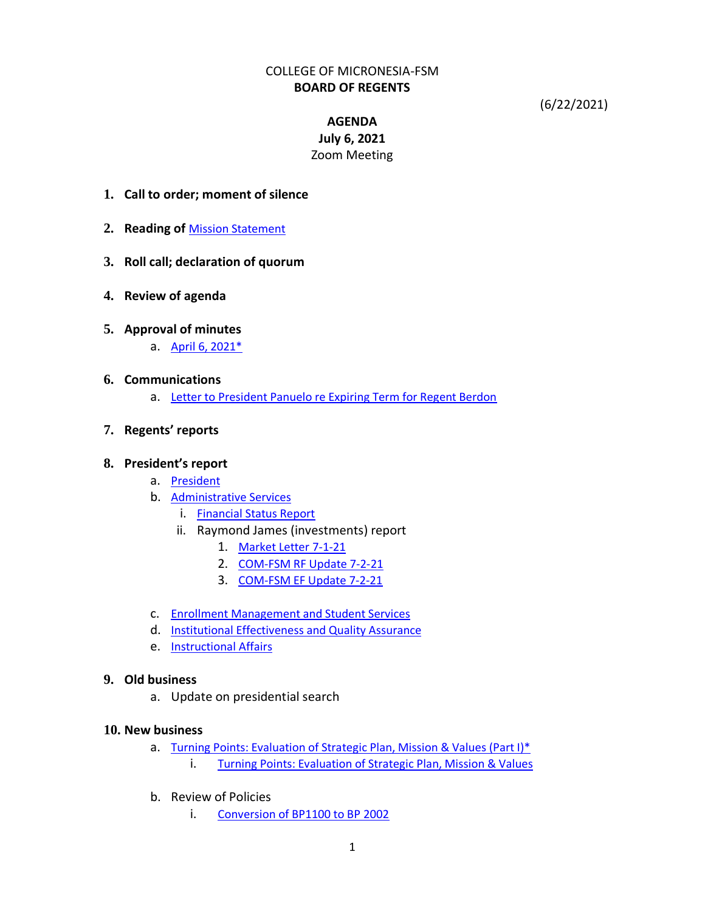## COLLEGE OF MICRONESIA-FSM **BOARD OF REGENTS**

(6/22/2021)

# **AGENDA July 6, 2021** Zoom Meeting

- **1. Call to order; moment of silence**
- **2. Reading of** [Mission Statement](http://www.comfsm.fm/?q=mission-statement)
- **3. Roll call; declaration of quorum**
- **4. Review of agenda**

## **5. Approval of minutes**

a. [April 6, 2021\\*](http://www.comfsm.fm/bor/notebook/07-2021/5.a.Minutes-21-04-06.pdf)

### **6. Communications**

a. [Letter to President Panuelo re Expiring Term for Regent Berdon](http://www.comfsm.fm/bor/notebook/07-2021/6.a.Letter-to-President-Panuelo.pdf)

## **7. Regents' reports**

### **8. President's report**

- a. [President](http://www.comfsm.fm/bor/notebook/07-2021/8.a.President)
- b. [Administrative Services](http://www.comfsm.fm/bor/notebook/07-2021/8.b.Administrative-Services.pdf)
	- i. [Financial Status Report](http://www.comfsm.fm/bor/notebook/07-2021/8.b.i.Finance-and-Audit-Committee-Report-July-2021.pdf)
	- ii. Raymond James (investments) report
		- 1. [Market Letter 7-1-21](http://www.comfsm.fm/bor/notebook/07-2021/8.b.ii.1.Market-Letter-7-1-21.pdf)
		- 2. [COM-FSM RF Update 7-2-21](http://www.comfsm.fm/bor/notebook/07-2021/8.b.ii.2.COM-FSM_RF_Update-7-2-21.pdf)
		- 3. [COM-FSM EF Update 7-2-21](http://www.comfsm.fm/bor/notebook/07-2021/8.b.ii.3.COM-FSM_EF_Update-7-2-21.pdf)
- c. [Enrollment Management and Student Services](http://www.comfsm.fm/bor/notebook/07-2021/8.c.Enrollment-Management-and-Student-Services.pdf)
- d. [Institutional Effectiveness and Quality Assurance](http://www.comfsm.fm/bor/notebook/07-2021/8.d.Institutional-Effectiveness-and-Quality-Assurance.pdf)
- e. [Instructional Affairs](http://www.comfsm.fm/bor/notebook/07-2021/8.e.Instructional-Affairs.pdf)

## **9. Old business**

a. Update on presidential search

### **10. New business**

- a. [Turning Points: Evaluation of Strategic Plan, Mission & Values \(Part I\)\\*](http://www.comfsm.fm/bor/notebook/07-2021/10.a.Turning-Point.pdf)
	- i. [Turning Points: Evaluation of Strategic Plan, Mission & Values](http://www.comfsm.fm/bor/notebook/07-2021/10.a.i.Turning-Points-Evaluation-of-Strategic-Plan,Mission&Values.pdf)
- b. Review of Policies
	- i. [Conversion of BP1100 to BP 2002](http://www.comfsm.fm/bor/notebook/07-2021/10.b.i.Conversion-of-BP1100-to-BP2002.pdf)